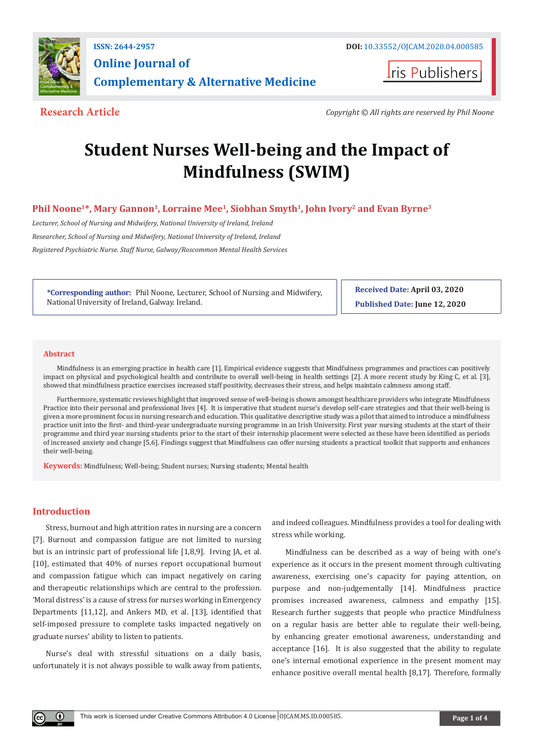

**Iris Publishers** 

**Research Article** *Copyright © All rights are reserved by Phil Noone*

# **Student Nurses Well-being and the Impact of Mindfulness (SWIM)**

# **Phil Noone1\*, Mary Gannon1, Lorraine Mee1, Siobhan Smyth1, John Ivory2 and Evan Byrne3**

*Lecturer, School of Nursing and Midwifery, National University of Ireland, Ireland Researcher, School of Nursing and Midwifery, National University of Ireland, Ireland Registered Psychiatric Nurse. Staff Nurse, Galway/Roscommon Mental Health Services*

**\*Corresponding author:** Phil Noone, Lecturer, School of Nursing and Midwifery, National University of Ireland, Galway. Ireland.

**Received Date: April 03, 2020 Published Date: June 12, 2020**

#### **Abstract**

Mindfulness is an emerging practice in health care [1]. Empirical evidence suggests that Mindfulness programmes and practices can positively impact on physical and psychological health and contribute to overall well-being in health settings [2]. A more recent study by King C, et al. [3], showed that mindfulness practice exercises increased staff positivity, decreases their stress, and helps maintain calmness among staff.

Furthermore, systematic reviews highlight that improved sense of well-being is shown amongst healthcare providers who integrate Mindfulness Practice into their personal and professional lives [4]. It is imperative that student nurse's develop self-care strategies and that their well-being is given a more prominent focus in nursing research and education. This qualitative descriptive study was a pilot that aimed to introduce a mindfulness practice unit into the first- and third-year undergraduate nursing programme in an Irish University. First year nursing students at the start of their programme and third year nursing students prior to the start of their internship placement were selected as these have been identified as periods of increased anxiety and change [5,6]. Findings suggest that Mindfulness can offer nursing students a practical toolkit that supports and enhances their well-being.

**Keywords:** Mindfulness; Well-being; Student nurses; Nursing students; Mental health

## **Introduction**

 $\bf{0}$ 

Stress, burnout and high attrition rates in nursing are a concern [7]. Burnout and compassion fatigue are not limited to nursing but is an intrinsic part of professional life [1,8,9]. Irving JA, et al. [10], estimated that 40% of nurses report occupational burnout and compassion fatigue which can impact negatively on caring and therapeutic relationships which are central to the profession. 'Moral distress' is a cause of stress for nurses working in Emergency Departments [11,12], and Ankers MD, et al. [13], identified that self-imposed pressure to complete tasks impacted negatively on graduate nurses' ability to listen to patients.

Nurse's deal with stressful situations on a daily basis, unfortunately it is not always possible to walk away from patients, and indeed colleagues. Mindfulness provides a tool for dealing with stress while working.

Mindfulness can be described as a way of being with one's experience as it occurs in the present moment through cultivating awareness, exercising one's capacity for paying attention, on purpose and non-judgementally [14]. Mindfulness practice promises increased awareness, calmness and empathy [15]. Research further suggests that people who practice Mindfulness on a regular basis are better able to regulate their well-being, by enhancing greater emotional awareness, understanding and acceptance [16]. It is also suggested that the ability to regulate one's internal emotional experience in the present moment may enhance positive overall mental health [8,17]. Therefore, formally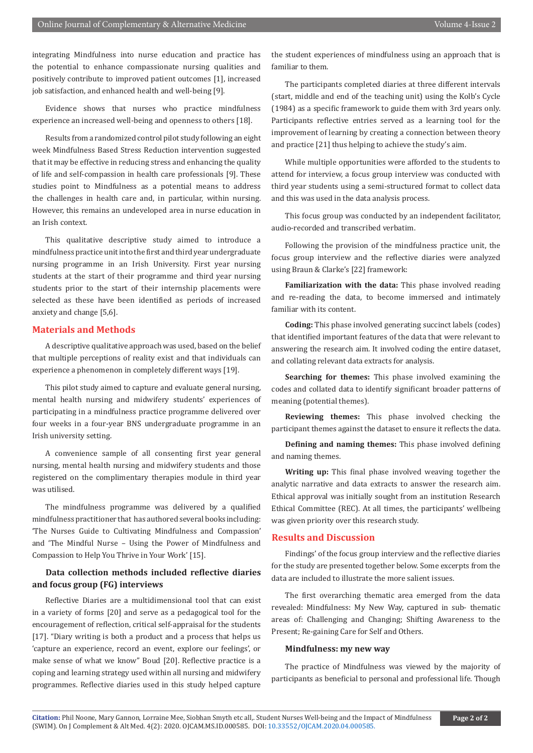integrating Mindfulness into nurse education and practice has the potential to enhance compassionate nursing qualities and positively contribute to improved patient outcomes [1], increased job satisfaction, and enhanced health and well-being [9].

Evidence shows that nurses who practice mindfulness experience an increased well-being and openness to others [18].

Results from a randomized control pilot study following an eight week Mindfulness Based Stress Reduction intervention suggested that it may be effective in reducing stress and enhancing the quality of life and self-compassion in health care professionals [9]. These studies point to Mindfulness as a potential means to address the challenges in health care and, in particular, within nursing. However, this remains an undeveloped area in nurse education in an Irish context.

This qualitative descriptive study aimed to introduce a mindfulness practice unit into the first and third year undergraduate nursing programme in an Irish University. First year nursing students at the start of their programme and third year nursing students prior to the start of their internship placements were selected as these have been identified as periods of increased anxiety and change [5,6].

# **Materials and Methods**

A descriptive qualitative approach was used, based on the belief that multiple perceptions of reality exist and that individuals can experience a phenomenon in completely different ways [19].

This pilot study aimed to capture and evaluate general nursing, mental health nursing and midwifery students' experiences of participating in a mindfulness practice programme delivered over four weeks in a four-year BNS undergraduate programme in an Irish university setting.

A convenience sample of all consenting first year general nursing, mental health nursing and midwifery students and those registered on the complimentary therapies module in third year was utilised.

The mindfulness programme was delivered by a qualified mindfulness practitioner that has authored several books including: 'The Nurses Guide to Cultivating Mindfulness and Compassion' and 'The Mindful Nurse – Using the Power of Mindfulness and Compassion to Help You Thrive in Your Work' [15].

# **Data collection methods included reflective diaries and focus group (FG) interviews**

Reflective Diaries are a multidimensional tool that can exist in a variety of forms [20] and serve as a pedagogical tool for the encouragement of reflection, critical self-appraisal for the students [17]. "Diary writing is both a product and a process that helps us 'capture an experience, record an event, explore our feelings', or make sense of what we know" Boud [20]. Reflective practice is a coping and learning strategy used within all nursing and midwifery programmes. Reflective diaries used in this study helped capture

the student experiences of mindfulness using an approach that is familiar to them.

The participants completed diaries at three different intervals (start, middle and end of the teaching unit) using the Kolb's Cycle (1984) as a specific framework to guide them with 3rd years only. Participants reflective entries served as a learning tool for the improvement of learning by creating a connection between theory and practice [21] thus helping to achieve the study's aim.

While multiple opportunities were afforded to the students to attend for interview, a focus group interview was conducted with third year students using a semi-structured format to collect data and this was used in the data analysis process.

This focus group was conducted by an independent facilitator, audio-recorded and transcribed verbatim.

Following the provision of the mindfulness practice unit, the focus group interview and the reflective diaries were analyzed using Braun & Clarke's [22] framework:

**Familiarization with the data:** This phase involved reading and re-reading the data, to become immersed and intimately familiar with its content.

**Coding:** This phase involved generating succinct labels (codes) that identified important features of the data that were relevant to answering the research aim. It involved coding the entire dataset, and collating relevant data extracts for analysis.

**Searching for themes:** This phase involved examining the codes and collated data to identify significant broader patterns of meaning (potential themes).

**Reviewing themes:** This phase involved checking the participant themes against the dataset to ensure it reflects the data.

**Defining and naming themes:** This phase involved defining and naming themes.

**Writing up:** This final phase involved weaving together the analytic narrative and data extracts to answer the research aim. Ethical approval was initially sought from an institution Research Ethical Committee (REC). At all times, the participants' wellbeing was given priority over this research study.

# **Results and Discussion**

Findings' of the focus group interview and the reflective diaries for the study are presented together below. Some excerpts from the data are included to illustrate the more salient issues.

The first overarching thematic area emerged from the data revealed: Mindfulness: My New Way, captured in sub- thematic areas of: Challenging and Changing; Shifting Awareness to the Present; Re-gaining Care for Self and Others.

#### **Mindfulness: my new way**

The practice of Mindfulness was viewed by the majority of participants as beneficial to personal and professional life. Though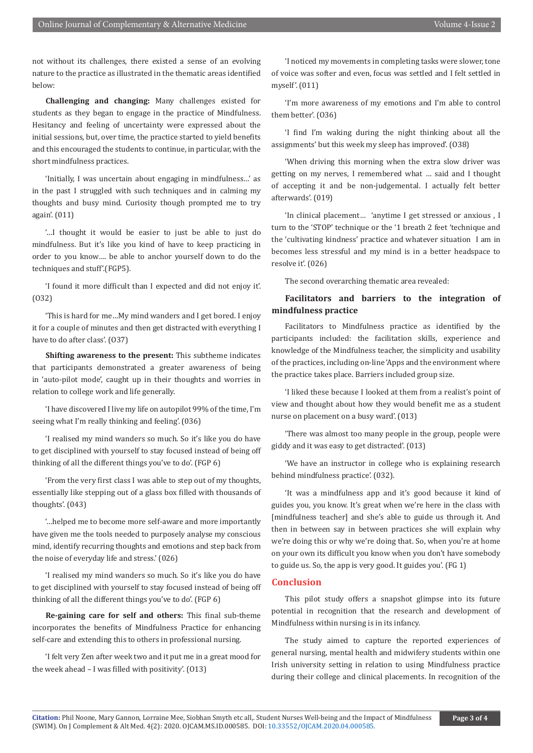not without its challenges, there existed a sense of an evolving nature to the practice as illustrated in the thematic areas identified below:

**Challenging and changing:** Many challenges existed for students as they began to engage in the practice of Mindfulness. Hesitancy and feeling of uncertainty were expressed about the initial sessions, but, over time, the practice started to yield benefits and this encouraged the students to continue, in particular, with the short mindfulness practices.

'Initially, I was uncertain about engaging in mindfulness…' as in the past I struggled with such techniques and in calming my thoughts and busy mind. Curiosity though prompted me to try again'. (011)

'…I thought it would be easier to just be able to just do mindfulness. But it's like you kind of have to keep practicing in order to you know…. be able to anchor yourself down to do the techniques and stuff'.(FGP5).

'I found it more difficult than I expected and did not enjoy it'. (O32)

'This is hard for me…My mind wanders and I get bored. I enjoy it for a couple of minutes and then get distracted with everything I have to do after class'. (O37)

**Shifting awareness to the present:** This subtheme indicates that participants demonstrated a greater awareness of being in 'auto-pilot mode', caught up in their thoughts and worries in relation to college work and life generally.

'I have discovered I live my life on autopilot 99% of the time, I'm seeing what I'm really thinking and feeling'. (036)

'I realised my mind wanders so much. So it's like you do have to get disciplined with yourself to stay focused instead of being off thinking of all the different things you've to do'. (FGP 6)

'From the very first class I was able to step out of my thoughts, essentially like stepping out of a glass box filled with thousands of thoughts'. (043)

'…helped me to become more self-aware and more importantly have given me the tools needed to purposely analyse my conscious mind, identify recurring thoughts and emotions and step back from the noise of everyday life and stress.' (026)

'I realised my mind wanders so much. So it's like you do have to get disciplined with yourself to stay focused instead of being off thinking of all the different things you've to do'. (FGP 6)

**Re-gaining care for self and others:** This final sub-theme incorporates the benefits of Mindfulness Practice for enhancing self-care and extending this to others in professional nursing.

'I felt very Zen after week two and it put me in a great mood for the week ahead – I was filled with positivity'. (O13)

'I noticed my movements in completing tasks were slower, tone of voice was softer and even, focus was settled and I felt settled in myself'. (011)

'I'm more awareness of my emotions and I'm able to control them better'. (O36)

'I find I'm waking during the night thinking about all the assignments' but this week my sleep has improved'. (O38)

'When driving this morning when the extra slow driver was getting on my nerves, I remembered what … said and I thought of accepting it and be non-judgemental. I actually felt better afterwards'. (019)

'In clinical placement… 'anytime I get stressed or anxious , I turn to the 'STOP' technique or the '1 breath 2 feet 'technique and the 'cultivating kindness' practice and whatever situation I am in becomes less stressful and my mind is in a better headspace to resolve it'. (026)

The second overarching thematic area revealed:

# **Facilitators and barriers to the integration of mindfulness practice**

Facilitators to Mindfulness practice as identified by the participants included: the facilitation skills, experience and knowledge of the Mindfulness teacher, the simplicity and usability of the practices, including on-line 'Apps and the environment where the practice takes place. Barriers included group size.

'I liked these because I looked at them from a realist's point of view and thought about how they would benefit me as a student nurse on placement on a busy ward'. (013)

'There was almost too many people in the group, people were giddy and it was easy to get distracted'. (013)

'We have an instructor in college who is explaining research behind mindfulness practice'. (032).

'It was a mindfulness app and it's good because it kind of guides you, you know. It's great when we're here in the class with [mindfulness teacher] and she's able to guide us through it. And then in between say in between practices she will explain why we're doing this or why we're doing that. So, when you're at home on your own its difficult you know when you don't have somebody to guide us. So, the app is very good. It guides you'. (FG 1)

### **Conclusion**

This pilot study offers a snapshot glimpse into its future potential in recognition that the research and development of Mindfulness within nursing is in its infancy.

The study aimed to capture the reported experiences of general nursing, mental health and midwifery students within one Irish university setting in relation to using Mindfulness practice during their college and clinical placements. In recognition of the